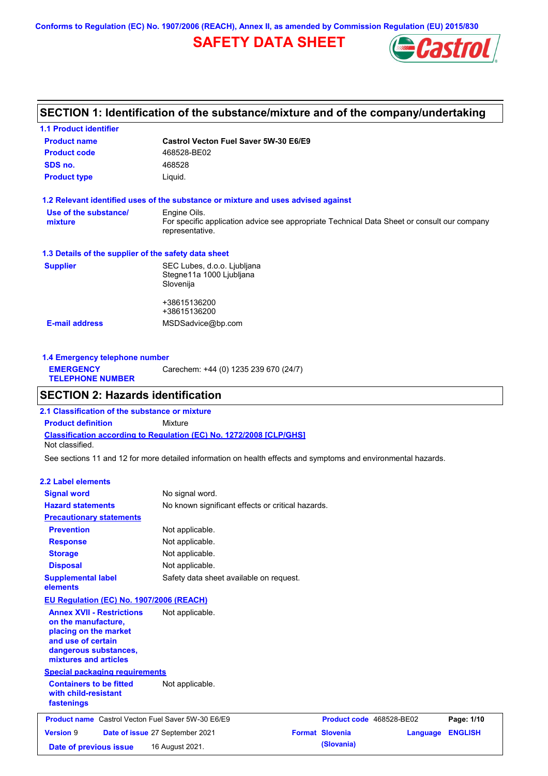**Conforms to Regulation (EC) No. 1907/2006 (REACH), Annex II, as amended by Commission Regulation (EU) 2015/830**

## **SAFETY DATA SHEET**



## **SECTION 1: Identification of the substance/mixture and of the company/undertaking**

| <b>1.1 Product identifier</b>                        |                                                                                                                |
|------------------------------------------------------|----------------------------------------------------------------------------------------------------------------|
| <b>Product name</b>                                  | Castrol Vecton Fuel Saver 5W-30 E6/E9                                                                          |
| <b>Product code</b>                                  | 468528-BE02                                                                                                    |
| SDS no.                                              | 468528                                                                                                         |
| <b>Product type</b>                                  | Liquid.                                                                                                        |
|                                                      | 1.2 Relevant identified uses of the substance or mixture and uses advised against                              |
| Use of the substance/                                | Engine Oils.                                                                                                   |
| mixture                                              | For specific application advice see appropriate Technical Data Sheet or consult our company<br>representative. |
| 1.3 Details of the supplier of the safety data sheet |                                                                                                                |
| <b>Supplier</b>                                      | SEC Lubes, d.o.o. Ljubljana                                                                                    |
|                                                      | Stegne11a 1000 Ljubljana                                                                                       |
|                                                      | Slovenija                                                                                                      |
|                                                      | +38615136200                                                                                                   |
|                                                      | +38615136200                                                                                                   |
|                                                      |                                                                                                                |

| 1.4 Emergency telephone number              |                                       |  |  |
|---------------------------------------------|---------------------------------------|--|--|
| <b>EMERGENCY</b><br><b>TELEPHONE NUMBER</b> | Carechem: +44 (0) 1235 239 670 (24/7) |  |  |

## **SECTION 2: Hazards identification**

**Classification according to Regulation (EC) No. 1272/2008 [CLP/GHS] 2.1 Classification of the substance or mixture Product definition** Mixture Not classified.

See sections 11 and 12 for more detailed information on health effects and symptoms and environmental hazards.

### **2.2 Label elements**

| <b>Signal word</b>                                                                                                                                       | No signal word.                                   |                          |          |                |
|----------------------------------------------------------------------------------------------------------------------------------------------------------|---------------------------------------------------|--------------------------|----------|----------------|
| <b>Hazard statements</b>                                                                                                                                 | No known significant effects or critical hazards. |                          |          |                |
| <b>Precautionary statements</b>                                                                                                                          |                                                   |                          |          |                |
| <b>Prevention</b>                                                                                                                                        | Not applicable.                                   |                          |          |                |
| <b>Response</b>                                                                                                                                          | Not applicable.                                   |                          |          |                |
| <b>Storage</b>                                                                                                                                           | Not applicable.                                   |                          |          |                |
| <b>Disposal</b>                                                                                                                                          | Not applicable.                                   |                          |          |                |
| <b>Supplemental label</b><br>elements                                                                                                                    | Safety data sheet available on request.           |                          |          |                |
| <b>EU Regulation (EC) No. 1907/2006 (REACH)</b>                                                                                                          |                                                   |                          |          |                |
| <b>Annex XVII - Restrictions</b><br>on the manufacture.<br>placing on the market<br>and use of certain<br>dangerous substances,<br>mixtures and articles | Not applicable.                                   |                          |          |                |
| <b>Special packaging requirements</b>                                                                                                                    |                                                   |                          |          |                |
| <b>Containers to be fitted</b><br>with child-resistant<br>fastenings                                                                                     | Not applicable.                                   |                          |          |                |
| <b>Product name</b> Castrol Vecton Fuel Saver 5W-30 E6/E9                                                                                                |                                                   | Product code 468528-BE02 |          | Page: 1/10     |
| <b>Version 9</b>                                                                                                                                         | Date of issue 27 September 2021                   | <b>Format Slovenia</b>   | Language | <b>ENGLISH</b> |
| Date of previous issue                                                                                                                                   | 16 August 2021.                                   | (Slovania)               |          |                |
|                                                                                                                                                          |                                                   |                          |          |                |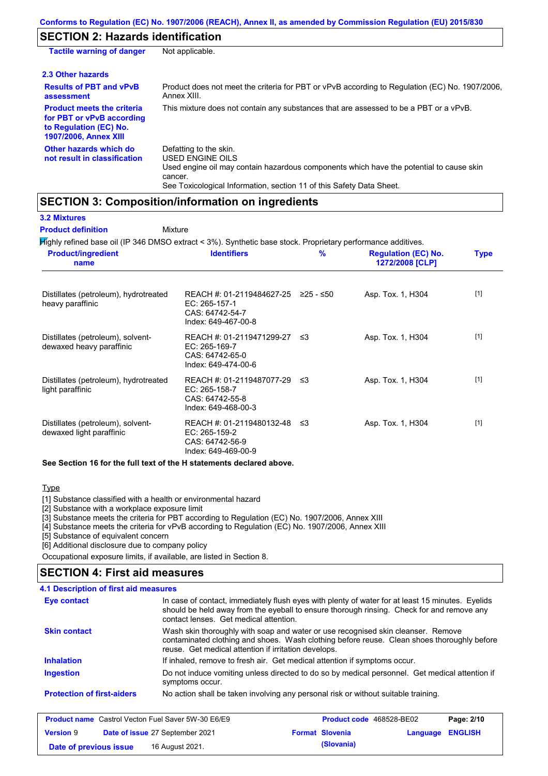## **SECTION 2: Hazards identification**

| <b>Tactile warning of danger</b>                                                                                         | Not applicable.                                                                                                                                                                                                          |
|--------------------------------------------------------------------------------------------------------------------------|--------------------------------------------------------------------------------------------------------------------------------------------------------------------------------------------------------------------------|
| 2.3 Other hazards                                                                                                        |                                                                                                                                                                                                                          |
| <b>Results of PBT and vPvB</b><br>assessment                                                                             | Product does not meet the criteria for PBT or vPvB according to Regulation (EC) No. 1907/2006,<br>Annex XIII.                                                                                                            |
| <b>Product meets the criteria</b><br>for PBT or vPvB according<br>to Regulation (EC) No.<br><b>1907/2006, Annex XIII</b> | This mixture does not contain any substances that are assessed to be a PBT or a vPvB.                                                                                                                                    |
| Other hazards which do<br>not result in classification                                                                   | Defatting to the skin.<br>USED ENGINE OILS<br>Used engine oil may contain hazardous components which have the potential to cause skin<br>cancer.<br>See Toxicological Information, section 11 of this Safety Data Sheet. |

### **SECTION 3: Composition/information on ingredients**

| <b>Product definition</b>                                     | Mixture<br>Mighly refined base oil (IP 346 DMSO extract < 3%). Synthetic base stock. Proprietary performance additives. |             |                                               |             |
|---------------------------------------------------------------|-------------------------------------------------------------------------------------------------------------------------|-------------|-----------------------------------------------|-------------|
| <b>Product/ingredient</b><br>name                             | <b>Identifiers</b>                                                                                                      | %           | <b>Regulation (EC) No.</b><br>1272/2008 [CLP] | <b>Type</b> |
| Distillates (petroleum), hydrotreated<br>heavy paraffinic     | REACH #: 01-2119484627-25<br>EC: 265-157-1<br>CAS: 64742-54-7<br>Index: 649-467-00-8                                    | $≥25 - ≤50$ | Asp. Tox. 1, H304                             | $[1]$       |
| Distillates (petroleum), solvent-<br>dewaxed heavy paraffinic | REACH #: 01-2119471299-27<br>EC: 265-169-7<br>CAS: 64742-65-0<br>Index: 649-474-00-6                                    | ≤3          | Asp. Tox. 1, H304                             | $[1]$       |
| Distillates (petroleum), hydrotreated<br>light paraffinic     | REACH #: 01-2119487077-29<br>EC: 265-158-7<br>CAS: 64742-55-8<br>Index: 649-468-00-3                                    | ≲3          | Asp. Tox. 1, H304                             | $[1]$       |
| Distillates (petroleum), solvent-<br>dewaxed light paraffinic | REACH #: 01-2119480132-48<br>EC: 265-159-2<br>CAS: 64742-56-9<br>Index: 649-469-00-9                                    | ≤3          | Asp. Tox. 1, H304                             | $[1]$       |

**See Section 16 for the full text of the H statements declared above.**

**Type** 

[1] Substance classified with a health or environmental hazard

[2] Substance with a workplace exposure limit

[3] Substance meets the criteria for PBT according to Regulation (EC) No. 1907/2006, Annex XIII

[4] Substance meets the criteria for vPvB according to Regulation (EC) No. 1907/2006, Annex XIII

[5] Substance of equivalent concern

[6] Additional disclosure due to company policy

Occupational exposure limits, if available, are listed in Section 8.

### **SECTION 4: First aid measures**

#### **4.1 Description of first aid measures**

| Eye contact                                               | In case of contact, immediately flush eyes with plenty of water for at least 15 minutes. Eyelids<br>should be held away from the eyeball to ensure thorough rinsing. Check for and remove any<br>contact lenses. Get medical attention. |  |  |
|-----------------------------------------------------------|-----------------------------------------------------------------------------------------------------------------------------------------------------------------------------------------------------------------------------------------|--|--|
| <b>Skin contact</b>                                       | Wash skin thoroughly with soap and water or use recognised skin cleanser. Remove<br>contaminated clothing and shoes. Wash clothing before reuse. Clean shoes thoroughly before<br>reuse. Get medical attention if irritation develops.  |  |  |
| <b>Inhalation</b>                                         | If inhaled, remove to fresh air. Get medical attention if symptoms occur.                                                                                                                                                               |  |  |
| Ingestion                                                 | Do not induce vomiting unless directed to do so by medical personnel. Get medical attention if<br>symptoms occur.                                                                                                                       |  |  |
| <b>Protection of first-aiders</b>                         | No action shall be taken involving any personal risk or without suitable training.                                                                                                                                                      |  |  |
| <b>Product name</b> Castrol Vecton Fuel Saver 5W-30 E6/E9 | Product code 468528-BE02<br>Page: 2/10                                                                                                                                                                                                  |  |  |
| --------                                                  |                                                                                                                                                                                                                                         |  |  |

|                        |                                        |                        |                  | . |
|------------------------|----------------------------------------|------------------------|------------------|---|
| <b>Version 9</b>       | <b>Date of issue 27 September 2021</b> | <b>Format Slovenia</b> | Language ENGLISH |   |
| Date of previous issue | 16 August 2021.                        | (Slovania)             |                  |   |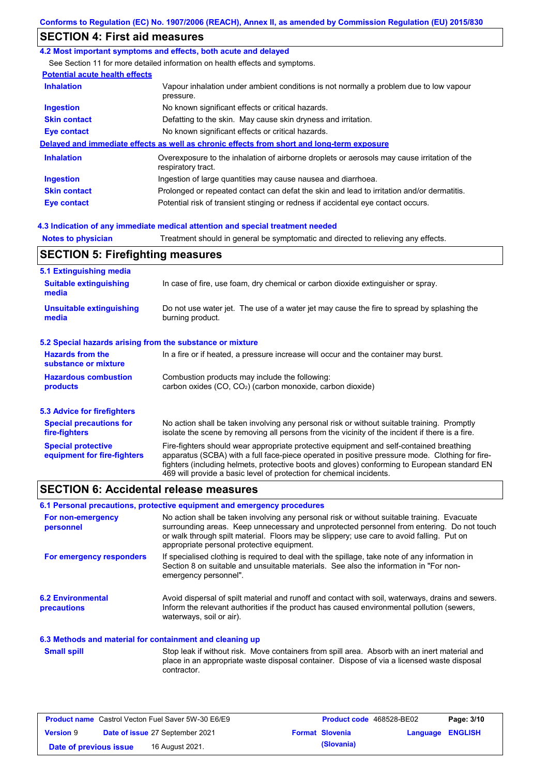## **SECTION 4: First aid measures**

### **4.2 Most important symptoms and effects, both acute and delayed**

See Section 11 for more detailed information on health effects and symptoms.

### **Potential acute health effects**

| <b>Inhalation</b>   | Vapour inhalation under ambient conditions is not normally a problem due to low vapour<br>pressure.               |
|---------------------|-------------------------------------------------------------------------------------------------------------------|
| <b>Ingestion</b>    | No known significant effects or critical hazards.                                                                 |
| <b>Skin contact</b> | Defatting to the skin. May cause skin dryness and irritation.                                                     |
| Eye contact         | No known significant effects or critical hazards.                                                                 |
|                     | Delayed and immediate effects as well as chronic effects from short and long-term exposure                        |
| <b>Inhalation</b>   | Overexposure to the inhalation of airborne droplets or aerosols may cause irritation of the<br>respiratory tract. |
| <b>Ingestion</b>    | Ingestion of large quantities may cause nausea and diarrhoea.                                                     |
| <b>Skin contact</b> | Prolonged or repeated contact can defat the skin and lead to irritation and/or dermatitis.                        |
| Eye contact         | Potential risk of transient stinging or redness if accidental eye contact occurs.                                 |

### **4.3 Indication of any immediate medical attention and special treatment needed**

**Notes to physician** Treatment should in general be symptomatic and directed to relieving any effects.

### **SECTION 5: Firefighting measures**

| 5.1 Extinguishing media                                   |                                                                                                                                                                                                                                                                                                                                                                   |
|-----------------------------------------------------------|-------------------------------------------------------------------------------------------------------------------------------------------------------------------------------------------------------------------------------------------------------------------------------------------------------------------------------------------------------------------|
| <b>Suitable extinguishing</b><br>media                    | In case of fire, use foam, dry chemical or carbon dioxide extinguisher or spray.                                                                                                                                                                                                                                                                                  |
| <b>Unsuitable extinguishing</b><br>media                  | Do not use water jet. The use of a water jet may cause the fire to spread by splashing the<br>burning product.                                                                                                                                                                                                                                                    |
| 5.2 Special hazards arising from the substance or mixture |                                                                                                                                                                                                                                                                                                                                                                   |
| <b>Hazards from the</b><br>substance or mixture           | In a fire or if heated, a pressure increase will occur and the container may burst.                                                                                                                                                                                                                                                                               |
| <b>Hazardous combustion</b><br>products                   | Combustion products may include the following:<br>carbon oxides $(CO, CO2)$ (carbon monoxide, carbon dioxide)                                                                                                                                                                                                                                                     |
| 5.3 Advice for firefighters                               |                                                                                                                                                                                                                                                                                                                                                                   |
| <b>Special precautions for</b><br>fire-fighters           | No action shall be taken involving any personal risk or without suitable training. Promptly<br>isolate the scene by removing all persons from the vicinity of the incident if there is a fire.                                                                                                                                                                    |
| <b>Special protective</b><br>equipment for fire-fighters  | Fire-fighters should wear appropriate protective equipment and self-contained breathing<br>apparatus (SCBA) with a full face-piece operated in positive pressure mode. Clothing for fire-<br>fighters (including helmets, protective boots and gloves) conforming to European standard EN<br>469 will provide a basic level of protection for chemical incidents. |

### **SECTION 6: Accidental release measures**

### **6.1 Personal precautions, protective equipment and emergency procedures**

| For non-emergency<br>personnel                           | No action shall be taken involving any personal risk or without suitable training. Evacuate<br>surrounding areas. Keep unnecessary and unprotected personnel from entering. Do not touch<br>or walk through spilt material. Floors may be slippery; use care to avoid falling. Put on<br>appropriate personal protective equipment. |
|----------------------------------------------------------|-------------------------------------------------------------------------------------------------------------------------------------------------------------------------------------------------------------------------------------------------------------------------------------------------------------------------------------|
| For emergency responders                                 | If specialised clothing is required to deal with the spillage, take note of any information in<br>Section 8 on suitable and unsuitable materials. See also the information in "For non-<br>emergency personnel".                                                                                                                    |
| <b>6.2 Environmental</b><br><b>precautions</b>           | Avoid dispersal of spilt material and runoff and contact with soil, waterways, drains and sewers.<br>Inform the relevant authorities if the product has caused environmental pollution (sewers,<br>waterways, soil or air).                                                                                                         |
| 6.3 Methods and material for containment and cleaning up |                                                                                                                                                                                                                                                                                                                                     |
| <b>Small spill</b>                                       | Stop leak if without risk. Move containers from spill area. Absorb with an inert material and<br>place in an appropriate waste disposal container. Dispose of via a licensed waste disposal<br>contractor.                                                                                                                          |

| <b>Product name</b> Castrol Vecton Fuel Saver 5W-30 E6/E9 |  |                                 | <b>Product code</b> 468528-BE02 |                         | Page: 3/10 |
|-----------------------------------------------------------|--|---------------------------------|---------------------------------|-------------------------|------------|
| <b>Version 9</b>                                          |  | Date of issue 27 September 2021 | <b>Format Slovenia</b>          | <b>Language ENGLISH</b> |            |
| Date of previous issue                                    |  | 16 August 2021.                 | (Slovania)                      |                         |            |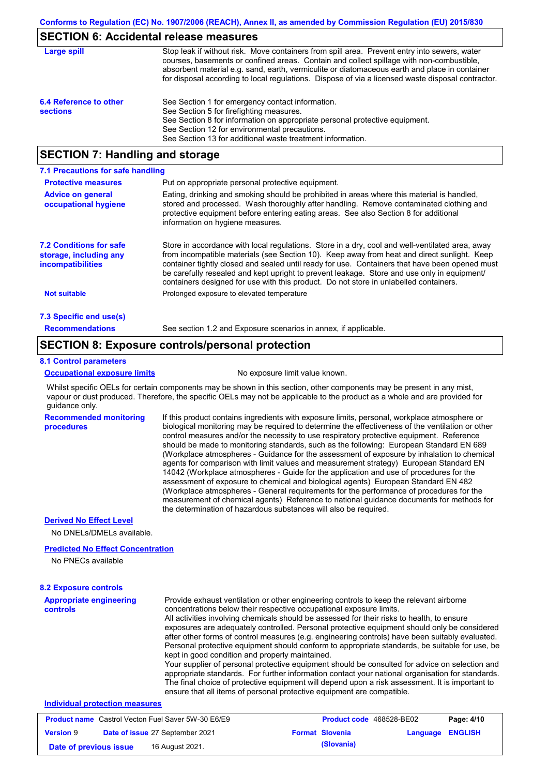### **SECTION 6: Accidental release measures**

| Large spill                               | Stop leak if without risk. Move containers from spill area. Prevent entry into sewers, water<br>courses, basements or confined areas. Contain and collect spillage with non-combustible,<br>absorbent material e.g. sand, earth, vermiculite or diatomaceous earth and place in container<br>for disposal according to local regulations. Dispose of via a licensed waste disposal contractor. |
|-------------------------------------------|------------------------------------------------------------------------------------------------------------------------------------------------------------------------------------------------------------------------------------------------------------------------------------------------------------------------------------------------------------------------------------------------|
| 6.4 Reference to other<br><b>sections</b> | See Section 1 for emergency contact information.<br>See Section 5 for firefighting measures.<br>See Section 8 for information on appropriate personal protective equipment.<br>See Section 12 for environmental precautions.<br>See Section 13 for additional waste treatment information.                                                                                                     |

## **SECTION 7: Handling and storage**

| 7.1 Precautions for safe handling                                             |                                                                                                                                                                                                                                                                                                                                                                                                                                                                                          |
|-------------------------------------------------------------------------------|------------------------------------------------------------------------------------------------------------------------------------------------------------------------------------------------------------------------------------------------------------------------------------------------------------------------------------------------------------------------------------------------------------------------------------------------------------------------------------------|
| <b>Protective measures</b>                                                    | Put on appropriate personal protective equipment.                                                                                                                                                                                                                                                                                                                                                                                                                                        |
| <b>Advice on general</b><br>occupational hygiene                              | Eating, drinking and smoking should be prohibited in areas where this material is handled.<br>stored and processed. Wash thoroughly after handling. Remove contaminated clothing and<br>protective equipment before entering eating areas. See also Section 8 for additional<br>information on hygiene measures.                                                                                                                                                                         |
| <b>7.2 Conditions for safe</b><br>storage, including any<br>incompatibilities | Store in accordance with local regulations. Store in a dry, cool and well-ventilated area, away<br>from incompatible materials (see Section 10). Keep away from heat and direct sunlight. Keep<br>container tightly closed and sealed until ready for use. Containers that have been opened must<br>be carefully resealed and kept upright to prevent leakage. Store and use only in equipment/<br>containers designed for use with this product. Do not store in unlabelled containers. |
| <b>Not suitable</b>                                                           | Prolonged exposure to elevated temperature                                                                                                                                                                                                                                                                                                                                                                                                                                               |
| 7.3 Specific end use(s)                                                       |                                                                                                                                                                                                                                                                                                                                                                                                                                                                                          |
| <b>Recommendations</b>                                                        | See section 1.2 and Exposure scenarios in annex, if applicable.                                                                                                                                                                                                                                                                                                                                                                                                                          |

### **SECTION 8: Exposure controls/personal protection**

#### **8.1 Control parameters**

#### **Occupational exposure limits** No exposure limit value known.

Whilst specific OELs for certain components may be shown in this section, other components may be present in any mist, vapour or dust produced. Therefore, the specific OELs may not be applicable to the product as a whole and are provided for guidance only.

**Recommended monitoring procedures** If this product contains ingredients with exposure limits, personal, workplace atmosphere or biological monitoring may be required to determine the effectiveness of the ventilation or other control measures and/or the necessity to use respiratory protective equipment. Reference should be made to monitoring standards, such as the following: European Standard EN 689 (Workplace atmospheres - Guidance for the assessment of exposure by inhalation to chemical agents for comparison with limit values and measurement strategy) European Standard EN 14042 (Workplace atmospheres - Guide for the application and use of procedures for the assessment of exposure to chemical and biological agents) European Standard EN 482 (Workplace atmospheres - General requirements for the performance of procedures for the measurement of chemical agents) Reference to national guidance documents for methods for the determination of hazardous substances will also be required.

### **Derived No Effect Level**

No DNELs/DMELs available.

#### **Predicted No Effect Concentration**

No PNECs available

| <b>8.2 Exposure controls</b>                                                                               |                                                                                                                                                                                                                                                                                                                                                                                                                                                                                                                                                                                                                                                                                                                                                                                                                                                                                                                                                                                                         |  |  |  |
|------------------------------------------------------------------------------------------------------------|---------------------------------------------------------------------------------------------------------------------------------------------------------------------------------------------------------------------------------------------------------------------------------------------------------------------------------------------------------------------------------------------------------------------------------------------------------------------------------------------------------------------------------------------------------------------------------------------------------------------------------------------------------------------------------------------------------------------------------------------------------------------------------------------------------------------------------------------------------------------------------------------------------------------------------------------------------------------------------------------------------|--|--|--|
| <b>Appropriate engineering</b><br>controls                                                                 | Provide exhaust ventilation or other engineering controls to keep the relevant airborne<br>concentrations below their respective occupational exposure limits.<br>All activities involving chemicals should be assessed for their risks to health, to ensure<br>exposures are adequately controlled. Personal protective equipment should only be considered<br>after other forms of control measures (e.g. engineering controls) have been suitably evaluated.<br>Personal protective equipment should conform to appropriate standards, be suitable for use, be<br>kept in good condition and properly maintained.<br>Your supplier of personal protective equipment should be consulted for advice on selection and<br>appropriate standards. For further information contact your national organisation for standards.<br>The final choice of protective equipment will depend upon a risk assessment. It is important to<br>ensure that all items of personal protective equipment are compatible. |  |  |  |
| <b>Individual protection measures</b>                                                                      |                                                                                                                                                                                                                                                                                                                                                                                                                                                                                                                                                                                                                                                                                                                                                                                                                                                                                                                                                                                                         |  |  |  |
| <b>Product name</b> Castrol Vecton Fuel Saver 5W-30 E6/E9<br>Page: 4/10<br><b>Product code</b> 468528-BE02 |                                                                                                                                                                                                                                                                                                                                                                                                                                                                                                                                                                                                                                                                                                                                                                                                                                                                                                                                                                                                         |  |  |  |

|                        | <b>Product hame</b> Castrol Vecton Fuel Saver 5W-30 E6/E9 |                        | <b>Product code</b> 468528-BEUZ | Page: 4/10 |
|------------------------|-----------------------------------------------------------|------------------------|---------------------------------|------------|
| <b>Version 9</b>       | <b>Date of issue 27 September 2021</b>                    | <b>Format Slovenia</b> | Language ENGLISH                |            |
| Date of previous issue | 16 August 2021.                                           | (Slovania)             |                                 |            |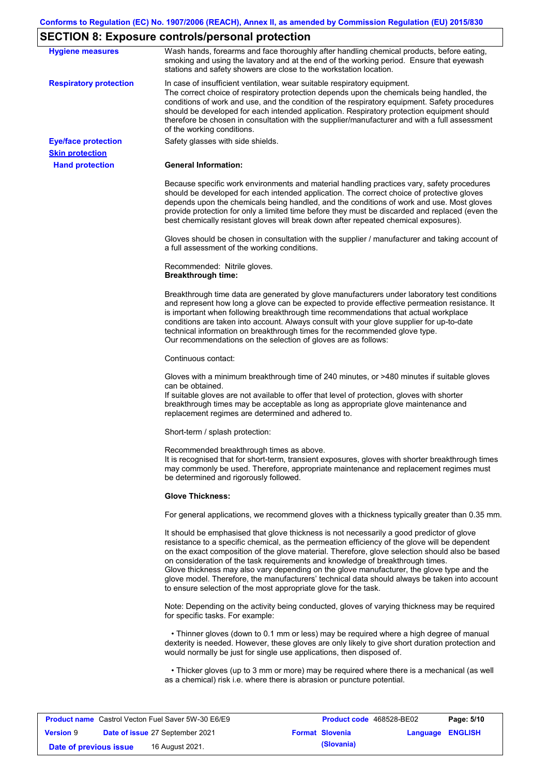## **SECTION 8: Exposure controls/personal protection**

| <b>Hygiene measures</b>       | Wash hands, forearms and face thoroughly after handling chemical products, before eating,<br>smoking and using the lavatory and at the end of the working period. Ensure that eyewash<br>stations and safety showers are close to the workstation location.                                                                                                                                                                                                                                                                                                                                                                                       |
|-------------------------------|---------------------------------------------------------------------------------------------------------------------------------------------------------------------------------------------------------------------------------------------------------------------------------------------------------------------------------------------------------------------------------------------------------------------------------------------------------------------------------------------------------------------------------------------------------------------------------------------------------------------------------------------------|
| <b>Respiratory protection</b> | In case of insufficient ventilation, wear suitable respiratory equipment.<br>The correct choice of respiratory protection depends upon the chemicals being handled, the<br>conditions of work and use, and the condition of the respiratory equipment. Safety procedures<br>should be developed for each intended application. Respiratory protection equipment should<br>therefore be chosen in consultation with the supplier/manufacturer and with a full assessment<br>of the working conditions.                                                                                                                                             |
| <b>Eye/face protection</b>    | Safety glasses with side shields.                                                                                                                                                                                                                                                                                                                                                                                                                                                                                                                                                                                                                 |
| <b>Skin protection</b>        |                                                                                                                                                                                                                                                                                                                                                                                                                                                                                                                                                                                                                                                   |
| <b>Hand protection</b>        | <b>General Information:</b>                                                                                                                                                                                                                                                                                                                                                                                                                                                                                                                                                                                                                       |
|                               | Because specific work environments and material handling practices vary, safety procedures<br>should be developed for each intended application. The correct choice of protective gloves<br>depends upon the chemicals being handled, and the conditions of work and use. Most gloves<br>provide protection for only a limited time before they must be discarded and replaced (even the<br>best chemically resistant gloves will break down after repeated chemical exposures).                                                                                                                                                                  |
|                               | Gloves should be chosen in consultation with the supplier / manufacturer and taking account of<br>a full assessment of the working conditions.                                                                                                                                                                                                                                                                                                                                                                                                                                                                                                    |
|                               | Recommended: Nitrile gloves.<br><b>Breakthrough time:</b>                                                                                                                                                                                                                                                                                                                                                                                                                                                                                                                                                                                         |
|                               | Breakthrough time data are generated by glove manufacturers under laboratory test conditions<br>and represent how long a glove can be expected to provide effective permeation resistance. It<br>is important when following breakthrough time recommendations that actual workplace<br>conditions are taken into account. Always consult with your glove supplier for up-to-date<br>technical information on breakthrough times for the recommended glove type.<br>Our recommendations on the selection of gloves are as follows:                                                                                                                |
|                               | Continuous contact:                                                                                                                                                                                                                                                                                                                                                                                                                                                                                                                                                                                                                               |
|                               | Gloves with a minimum breakthrough time of 240 minutes, or >480 minutes if suitable gloves<br>can be obtained.<br>If suitable gloves are not available to offer that level of protection, gloves with shorter<br>breakthrough times may be acceptable as long as appropriate glove maintenance and<br>replacement regimes are determined and adhered to.                                                                                                                                                                                                                                                                                          |
|                               | Short-term / splash protection:                                                                                                                                                                                                                                                                                                                                                                                                                                                                                                                                                                                                                   |
|                               | Recommended breakthrough times as above.<br>It is recognised that for short-term, transient exposures, gloves with shorter breakthrough times<br>may commonly be used. Therefore, appropriate maintenance and replacement regimes must<br>be determined and rigorously followed.                                                                                                                                                                                                                                                                                                                                                                  |
|                               | <b>Glove Thickness:</b>                                                                                                                                                                                                                                                                                                                                                                                                                                                                                                                                                                                                                           |
|                               | For general applications, we recommend gloves with a thickness typically greater than 0.35 mm.                                                                                                                                                                                                                                                                                                                                                                                                                                                                                                                                                    |
|                               | It should be emphasised that glove thickness is not necessarily a good predictor of glove<br>resistance to a specific chemical, as the permeation efficiency of the glove will be dependent<br>on the exact composition of the glove material. Therefore, glove selection should also be based<br>on consideration of the task requirements and knowledge of breakthrough times.<br>Glove thickness may also vary depending on the glove manufacturer, the glove type and the<br>glove model. Therefore, the manufacturers' technical data should always be taken into account<br>to ensure selection of the most appropriate glove for the task. |
|                               | Note: Depending on the activity being conducted, gloves of varying thickness may be required<br>for specific tasks. For example:                                                                                                                                                                                                                                                                                                                                                                                                                                                                                                                  |
|                               | • Thinner gloves (down to 0.1 mm or less) may be required where a high degree of manual<br>dexterity is needed. However, these gloves are only likely to give short duration protection and<br>would normally be just for single use applications, then disposed of.                                                                                                                                                                                                                                                                                                                                                                              |
|                               | • Thicker gloves (up to 3 mm or more) may be required where there is a mechanical (as well<br>as a chemical) risk i.e. where there is abrasion or puncture potential.                                                                                                                                                                                                                                                                                                                                                                                                                                                                             |

| <b>Product name</b> Castrol Vecton Fuel Saver 5W-30 E6/E9 |  |                                        | <b>Product code</b> 468528-BE02 | Page: 5/10              |  |
|-----------------------------------------------------------|--|----------------------------------------|---------------------------------|-------------------------|--|
| <b>Version 9</b>                                          |  | <b>Date of issue 27 September 2021</b> | <b>Format Slovenia</b>          | <b>Language ENGLISH</b> |  |
| Date of previous issue                                    |  | 16 August 2021.                        | (Slovania)                      |                         |  |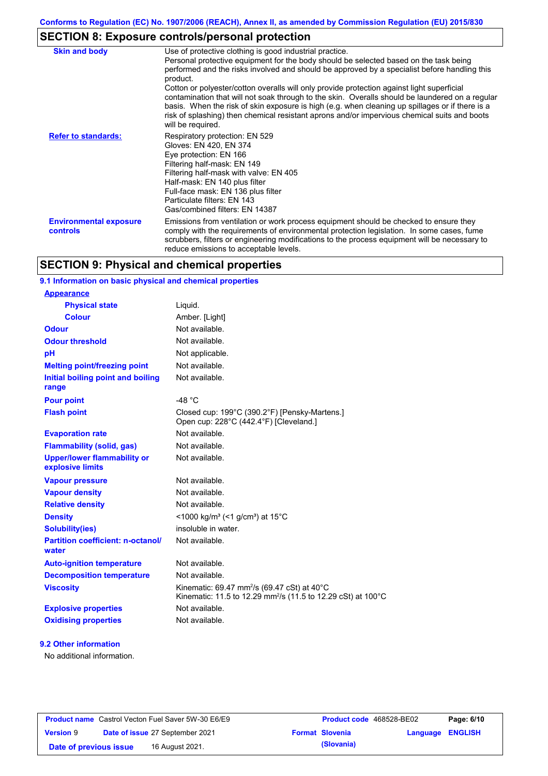## **SECTION 8: Exposure controls/personal protection**

| <b>Skin and body</b>                             | Use of protective clothing is good industrial practice.<br>Personal protective equipment for the body should be selected based on the task being<br>performed and the risks involved and should be approved by a specialist before handling this<br>product.<br>Cotton or polyester/cotton overalls will only provide protection against light superficial<br>contamination that will not soak through to the skin. Overalls should be laundered on a regular<br>basis. When the risk of skin exposure is high (e.g. when cleaning up spillages or if there is a<br>risk of splashing) then chemical resistant aprons and/or impervious chemical suits and boots<br>will be required. |
|--------------------------------------------------|---------------------------------------------------------------------------------------------------------------------------------------------------------------------------------------------------------------------------------------------------------------------------------------------------------------------------------------------------------------------------------------------------------------------------------------------------------------------------------------------------------------------------------------------------------------------------------------------------------------------------------------------------------------------------------------|
| <b>Refer to standards:</b>                       | Respiratory protection: EN 529<br>Gloves: EN 420, EN 374<br>Eye protection: EN 166<br>Filtering half-mask: EN 149<br>Filtering half-mask with valve: EN 405<br>Half-mask: EN 140 plus filter<br>Full-face mask: EN 136 plus filter<br>Particulate filters: EN 143<br>Gas/combined filters: EN 14387                                                                                                                                                                                                                                                                                                                                                                                   |
| <b>Environmental exposure</b><br><b>controls</b> | Emissions from ventilation or work process equipment should be checked to ensure they<br>comply with the requirements of environmental protection legislation. In some cases, fume<br>scrubbers, filters or engineering modifications to the process equipment will be necessary to<br>reduce emissions to acceptable levels.                                                                                                                                                                                                                                                                                                                                                         |

## **SECTION 9: Physical and chemical properties**

### **9.1 Information on basic physical and chemical properties**

| <b>Appearance</b>                                      |                                                                                                                                     |
|--------------------------------------------------------|-------------------------------------------------------------------------------------------------------------------------------------|
| <b>Physical state</b>                                  | Liquid.                                                                                                                             |
| <b>Colour</b>                                          | Amber. [Light]                                                                                                                      |
| <b>Odour</b>                                           | Not available.                                                                                                                      |
| <b>Odour threshold</b>                                 | Not available.                                                                                                                      |
| pH                                                     | Not applicable.                                                                                                                     |
| <b>Melting point/freezing point</b>                    | Not available.                                                                                                                      |
| Initial boiling point and boiling<br>range             | Not available.                                                                                                                      |
| <b>Pour point</b>                                      | -48 $^{\circ}$ C                                                                                                                    |
| <b>Flash point</b>                                     | Closed cup: 199°C (390.2°F) [Pensky-Martens.]<br>Open cup: 228°C (442.4°F) [Cleveland.]                                             |
| <b>Evaporation rate</b>                                | Not available.                                                                                                                      |
| <b>Flammability (solid, gas)</b>                       | Not available.                                                                                                                      |
| <b>Upper/lower flammability or</b><br>explosive limits | Not available.                                                                                                                      |
| <b>Vapour pressure</b>                                 | Not available.                                                                                                                      |
| <b>Vapour density</b>                                  | Not available.                                                                                                                      |
| <b>Relative density</b>                                | Not available.                                                                                                                      |
| <b>Density</b>                                         | <1000 kg/m <sup>3</sup> (<1 g/cm <sup>3</sup> ) at 15 <sup>°</sup> C                                                                |
| <b>Solubility(ies)</b>                                 | insoluble in water.                                                                                                                 |
| <b>Partition coefficient: n-octanol/</b><br>water      | Not available.                                                                                                                      |
| <b>Auto-ignition temperature</b>                       | Not available.                                                                                                                      |
| <b>Decomposition temperature</b>                       | Not available.                                                                                                                      |
| <b>Viscosity</b>                                       | Kinematic: 69.47 mm <sup>2</sup> /s (69.47 cSt) at 40°C<br>Kinematic: 11.5 to 12.29 mm <sup>2</sup> /s (11.5 to 12.29 cSt) at 100°C |
| <b>Explosive properties</b>                            | Not available.                                                                                                                      |
| <b>Oxidising properties</b>                            | Not available.                                                                                                                      |
|                                                        |                                                                                                                                     |

### **9.2 Other information**

No additional information.

| <b>Product name</b> Castrol Vecton Fuel Saver 5W-30 E6/E9 |  |                                        | <b>Product code</b> 468528-BE02 |                        | Page: 6/10              |  |
|-----------------------------------------------------------|--|----------------------------------------|---------------------------------|------------------------|-------------------------|--|
| <b>Version 9</b>                                          |  | <b>Date of issue 27 September 2021</b> |                                 | <b>Format Slovenia</b> | <b>Language ENGLISH</b> |  |
| Date of previous issue                                    |  | 16 August 2021.                        |                                 | (Slovania)             |                         |  |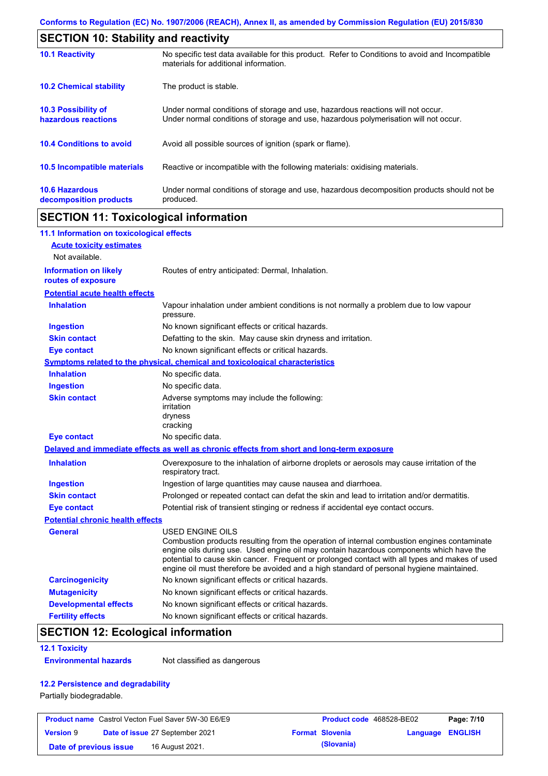| <b>SECTION 10: Stability and reactivity</b>       |                                                                                                                                                                         |
|---------------------------------------------------|-------------------------------------------------------------------------------------------------------------------------------------------------------------------------|
| <b>10.1 Reactivity</b>                            | No specific test data available for this product. Refer to Conditions to avoid and Incompatible<br>materials for additional information.                                |
| <b>10.2 Chemical stability</b>                    | The product is stable.                                                                                                                                                  |
| <b>10.3 Possibility of</b><br>hazardous reactions | Under normal conditions of storage and use, hazardous reactions will not occur.<br>Under normal conditions of storage and use, hazardous polymerisation will not occur. |
| <b>10.4 Conditions to avoid</b>                   | Avoid all possible sources of ignition (spark or flame).                                                                                                                |
| 10.5 Incompatible materials                       | Reactive or incompatible with the following materials: oxidising materials.                                                                                             |
| <b>10.6 Hazardous</b><br>decomposition products   | Under normal conditions of storage and use, hazardous decomposition products should not be<br>produced.                                                                 |

## **SECTION 11: Toxicological information**

| 11.1 Information on toxicological effects          |                                                                                                                                                                                                                                                                                                                                                                                                                 |
|----------------------------------------------------|-----------------------------------------------------------------------------------------------------------------------------------------------------------------------------------------------------------------------------------------------------------------------------------------------------------------------------------------------------------------------------------------------------------------|
| <b>Acute toxicity estimates</b>                    |                                                                                                                                                                                                                                                                                                                                                                                                                 |
| Not available.                                     |                                                                                                                                                                                                                                                                                                                                                                                                                 |
| <b>Information on likely</b><br>routes of exposure | Routes of entry anticipated: Dermal, Inhalation.                                                                                                                                                                                                                                                                                                                                                                |
| <b>Potential acute health effects</b>              |                                                                                                                                                                                                                                                                                                                                                                                                                 |
| <b>Inhalation</b>                                  | Vapour inhalation under ambient conditions is not normally a problem due to low vapour<br>pressure.                                                                                                                                                                                                                                                                                                             |
| <b>Ingestion</b>                                   | No known significant effects or critical hazards.                                                                                                                                                                                                                                                                                                                                                               |
| <b>Skin contact</b>                                | Defatting to the skin. May cause skin dryness and irritation.                                                                                                                                                                                                                                                                                                                                                   |
| <b>Eye contact</b>                                 | No known significant effects or critical hazards.                                                                                                                                                                                                                                                                                                                                                               |
|                                                    | <b>Symptoms related to the physical, chemical and toxicological characteristics</b>                                                                                                                                                                                                                                                                                                                             |
| <b>Inhalation</b>                                  | No specific data.                                                                                                                                                                                                                                                                                                                                                                                               |
| <b>Ingestion</b>                                   | No specific data.                                                                                                                                                                                                                                                                                                                                                                                               |
| <b>Skin contact</b>                                | Adverse symptoms may include the following:<br>irritation<br>dryness<br>cracking                                                                                                                                                                                                                                                                                                                                |
| <b>Eye contact</b>                                 | No specific data.                                                                                                                                                                                                                                                                                                                                                                                               |
|                                                    | Delayed and immediate effects as well as chronic effects from short and long-term exposure                                                                                                                                                                                                                                                                                                                      |
| <b>Inhalation</b>                                  | Overexposure to the inhalation of airborne droplets or aerosols may cause irritation of the<br>respiratory tract.                                                                                                                                                                                                                                                                                               |
| <b>Ingestion</b>                                   | Ingestion of large quantities may cause nausea and diarrhoea.                                                                                                                                                                                                                                                                                                                                                   |
| <b>Skin contact</b>                                | Prolonged or repeated contact can defat the skin and lead to irritation and/or dermatitis.                                                                                                                                                                                                                                                                                                                      |
| <b>Eye contact</b>                                 | Potential risk of transient stinging or redness if accidental eye contact occurs.                                                                                                                                                                                                                                                                                                                               |
| <b>Potential chronic health effects</b>            |                                                                                                                                                                                                                                                                                                                                                                                                                 |
| General                                            | <b>USED ENGINE OILS</b><br>Combustion products resulting from the operation of internal combustion engines contaminate<br>engine oils during use. Used engine oil may contain hazardous components which have the<br>potential to cause skin cancer. Frequent or prolonged contact with all types and makes of used<br>engine oil must therefore be avoided and a high standard of personal hygiene maintained. |
| <b>Carcinogenicity</b>                             | No known significant effects or critical hazards.                                                                                                                                                                                                                                                                                                                                                               |
| <b>Mutagenicity</b>                                | No known significant effects or critical hazards.                                                                                                                                                                                                                                                                                                                                                               |
| <b>Developmental effects</b>                       | No known significant effects or critical hazards.                                                                                                                                                                                                                                                                                                                                                               |
| <b>Fertility effects</b>                           | No known significant effects or critical hazards.                                                                                                                                                                                                                                                                                                                                                               |

## **SECTION 12: Ecological information**

### **12.1 Toxicity**

**Environmental hazards** Not classified as dangerous

### **12.2 Persistence and degradability**

Partially biodegradable.

| <b>Product name</b> Castrol Vecton Fuel Saver 5W-30 E6/E9 |  |                                        | <b>Product code</b> 468528-BE02 |                        | Page: 7/10       |  |
|-----------------------------------------------------------|--|----------------------------------------|---------------------------------|------------------------|------------------|--|
| <b>Version 9</b>                                          |  | <b>Date of issue 27 September 2021</b> |                                 | <b>Format Slovenia</b> | Language ENGLISH |  |
| Date of previous issue                                    |  | 16 August 2021.                        |                                 | (Slovania)             |                  |  |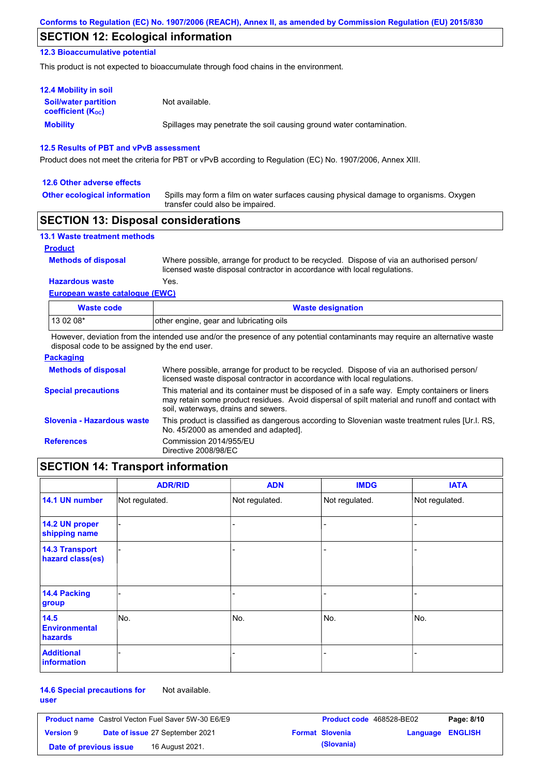### **SECTION 12: Ecological information**

### **12.3 Bioaccumulative potential**

This product is not expected to bioaccumulate through food chains in the environment.

| <b>12.4 Mobility in soil</b>                                  |                                                                      |
|---------------------------------------------------------------|----------------------------------------------------------------------|
| <b>Soil/water partition</b><br>coefficient (K <sub>oc</sub> ) | Not available.                                                       |
| <b>Mobility</b>                                               | Spillages may penetrate the soil causing ground water contamination. |

### **12.5 Results of PBT and vPvB assessment**

Product does not meet the criteria for PBT or vPvB according to Regulation (EC) No. 1907/2006, Annex XIII.

#### **12.6 Other adverse effects**

**Other ecological information**

Spills may form a film on water surfaces causing physical damage to organisms. Oxygen transfer could also be impaired.

### **SECTION 13: Disposal considerations**

| <b>13.1 Waste treatment methods</b> |                                                                                                                                                                      |
|-------------------------------------|----------------------------------------------------------------------------------------------------------------------------------------------------------------------|
| <b>Product</b>                      |                                                                                                                                                                      |
| <b>Methods of disposal</b>          | Where possible, arrange for product to be recycled. Dispose of via an authorised person/<br>licensed waste disposal contractor in accordance with local regulations. |
| <b>Hazardous waste</b>              | Yes.                                                                                                                                                                 |
| European waste catalogue (EWC)      |                                                                                                                                                                      |

| Waste code | <b>Waste designation</b>                |
|------------|-----------------------------------------|
| 13 02 08*  | other engine, gear and lubricating oils |

However, deviation from the intended use and/or the presence of any potential contaminants may require an alternative waste disposal code to be assigned by the end user.

| <b>Packaging</b>           |                                                                                                                                                                                                                                         |
|----------------------------|-----------------------------------------------------------------------------------------------------------------------------------------------------------------------------------------------------------------------------------------|
| <b>Methods of disposal</b> | Where possible, arrange for product to be recycled. Dispose of via an authorised person/<br>licensed waste disposal contractor in accordance with local regulations.                                                                    |
| <b>Special precautions</b> | This material and its container must be disposed of in a safe way. Empty containers or liners<br>may retain some product residues. Avoid dispersal of spilt material and runoff and contact with<br>soil, waterways, drains and sewers. |
| Slovenia - Hazardous waste | This product is classified as dangerous according to Slovenian waste treatment rules [Ur.l. RS.<br>No. 45/2000 as amended and adapted.                                                                                                  |
| <b>References</b>          | Commission 2014/955/EU<br>Directive 2008/98/EC                                                                                                                                                                                          |

## **SECTION 14: Transport information**

|                                           | <b>ADR/RID</b> | <b>ADN</b>     | <b>IMDG</b>    | <b>IATA</b>    |
|-------------------------------------------|----------------|----------------|----------------|----------------|
| 14.1 UN number                            | Not regulated. | Not regulated. | Not regulated. | Not regulated. |
| 14.2 UN proper<br>shipping name           |                |                | ۰              |                |
| <b>14.3 Transport</b><br>hazard class(es) |                |                | ۰              |                |
| 14.4 Packing<br>group                     |                |                |                |                |
| 14.5<br><b>Environmental</b><br>hazards   | No.            | No.            | No.            | No.            |
| <b>Additional</b><br>information          |                |                |                |                |

#### **14.6 Special precautions for user** Not available.

**Product name** Castrol Vecton Fuel Saver 5W-30 E6/E9 **Product Code 468528-BE02 Page: 8/10 Version** 9 **Date of issue** 27 September 2021 **Format Slovenia Language ENGLISH Date of previous issue (Slovania)** 16 August 2021.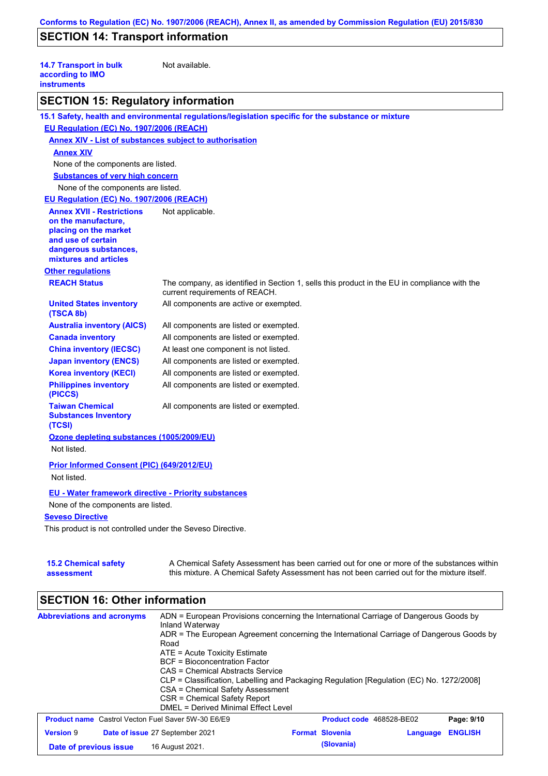## **SECTION 14: Transport information**

| <b>14.7 Transport in bulk</b><br>according to IMO<br><b>instruments</b> | Not available.                                                                                                                 |
|-------------------------------------------------------------------------|--------------------------------------------------------------------------------------------------------------------------------|
| <b>SECTION 15: Regulatory information</b>                               |                                                                                                                                |
|                                                                         | 15.1 Safety, health and environmental regulations/legislation specific for the substance or mixture                            |
| EU Regulation (EC) No. 1907/2006 (REACH)                                |                                                                                                                                |
| <b>Annex XIV - List of substances subject to authorisation</b>          |                                                                                                                                |
| <b>Annex XIV</b>                                                        |                                                                                                                                |
| None of the components are listed.                                      |                                                                                                                                |
| <b>Substances of very high concern</b>                                  |                                                                                                                                |
| None of the components are listed.                                      |                                                                                                                                |
| EU Regulation (EC) No. 1907/2006 (REACH)                                |                                                                                                                                |
| <b>Annex XVII - Restrictions</b>                                        | Not applicable.                                                                                                                |
| on the manufacture,                                                     |                                                                                                                                |
| placing on the market<br>and use of certain                             |                                                                                                                                |
| dangerous substances,                                                   |                                                                                                                                |
| mixtures and articles                                                   |                                                                                                                                |
| <b>Other regulations</b>                                                |                                                                                                                                |
| <b>REACH Status</b>                                                     | The company, as identified in Section 1, sells this product in the EU in compliance with the<br>current requirements of REACH. |
| <b>United States inventory</b><br>(TSCA 8b)                             | All components are active or exempted.                                                                                         |
| <b>Australia inventory (AICS)</b>                                       | All components are listed or exempted.                                                                                         |
| <b>Canada inventory</b>                                                 | All components are listed or exempted.                                                                                         |
| <b>China inventory (IECSC)</b>                                          | At least one component is not listed.                                                                                          |
| <b>Japan inventory (ENCS)</b>                                           | All components are listed or exempted.                                                                                         |
| <b>Korea inventory (KECI)</b>                                           | All components are listed or exempted.                                                                                         |
| <b>Philippines inventory</b><br>(PICCS)                                 | All components are listed or exempted.                                                                                         |
| <b>Taiwan Chemical</b><br><b>Substances Inventory</b><br>(TCSI)         | All components are listed or exempted.                                                                                         |
| Ozone depleting substances (1005/2009/EU)                               |                                                                                                                                |
| Not listed.                                                             |                                                                                                                                |
| Prior Informed Consent (PIC) (649/2012/EU)                              |                                                                                                                                |
| Not listed.                                                             |                                                                                                                                |
|                                                                         |                                                                                                                                |
| EU - Water framework directive - Priority substances                    |                                                                                                                                |
| None of the components are listed.                                      |                                                                                                                                |
| <b>Seveso Directive</b>                                                 |                                                                                                                                |
| This product is not controlled under the Seveso Directive.              |                                                                                                                                |
|                                                                         |                                                                                                                                |
| <b>15.2 Chemical safety</b>                                             | A Chemical Safety Assessment has been carried out for one or more of the substances within                                     |

A Chemical Safety Assessment has been carried out for one or more of the substances within this mixture. A Chemical Safety Assessment has not been carried out for the mixture itself.

# **SECTION 16: Other information**

| <b>Abbreviations and acronyms</b>                         | ADN = European Provisions concerning the International Carriage of Dangerous Goods by<br>Inland Waterway<br>ADR = The European Agreement concerning the International Carriage of Dangerous Goods by<br>Road<br>$ATE = Acute Toxicity Estimate$<br>BCF = Bioconcentration Factor<br>CAS = Chemical Abstracts Service<br>CLP = Classification, Labelling and Packaging Regulation [Regulation (EC) No. 1272/2008]<br>CSA = Chemical Safety Assessment<br>CSR = Chemical Safety Report<br>DMEL = Derived Minimal Effect Level |                          |          |                |
|-----------------------------------------------------------|-----------------------------------------------------------------------------------------------------------------------------------------------------------------------------------------------------------------------------------------------------------------------------------------------------------------------------------------------------------------------------------------------------------------------------------------------------------------------------------------------------------------------------|--------------------------|----------|----------------|
| <b>Product name</b> Castrol Vecton Fuel Saver 5W-30 E6/E9 |                                                                                                                                                                                                                                                                                                                                                                                                                                                                                                                             | Product code 468528-BE02 |          | Page: 9/10     |
| <b>Version 9</b>                                          | Date of issue 27 September 2021                                                                                                                                                                                                                                                                                                                                                                                                                                                                                             | <b>Format Slovenia</b>   | Language | <b>ENGLISH</b> |
| Date of previous issue                                    | 16 August 2021.                                                                                                                                                                                                                                                                                                                                                                                                                                                                                                             | (Slovania)               |          |                |